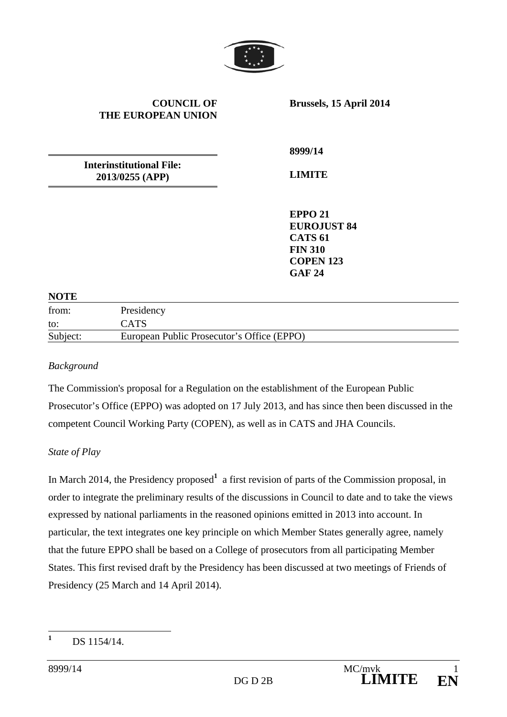

#### **COUNCIL OF THE EUROPEAN UNION**

**Brussels, 15 April 2014** 

**Interinstitutional File: 2013/0255 (APP)** 

**8999/14** 

**LIMITE** 

**EPPO 21 EUROJUST 84 CATS 61 FIN 310 COPEN 123 GAF 24** 

#### **NOTE**

| from:    | Presidency                                 |
|----------|--------------------------------------------|
| to:      | <b>CATS</b>                                |
| Subject: | European Public Prosecutor's Office (EPPO) |

#### *Background*

The Commission's proposal for a Regulation on the establishment of the European Public Prosecutor's Office (EPPO) was adopted on 17 July 2013, and has since then been discussed in the competent Council Working Party (COPEN), as well as in CATS and JHA Councils.

#### *State of Play*

In March 2014, the Presidency proposed<sup>1</sup> a first revision of parts of the Commission proposal, in order to integrate the preliminary results of the discussions in Council to date and to take the views expressed by national parliaments in the reasoned opinions emitted in 2013 into account. In particular, the text integrates one key principle on which Member States generally agree, namely that the future EPPO shall be based on a College of prosecutors from all participating Member States. This first revised draft by the Presidency has been discussed at two meetings of Friends of Presidency (25 March and 14 April 2014).

 **1** DS 1154/14.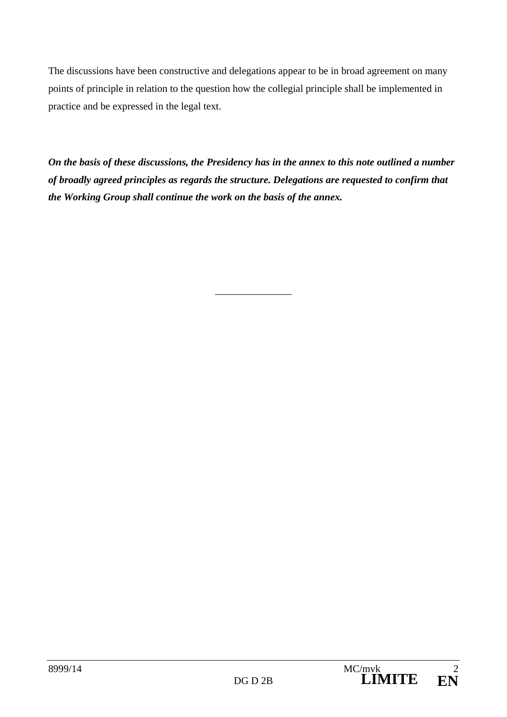The discussions have been constructive and delegations appear to be in broad agreement on many points of principle in relation to the question how the collegial principle shall be implemented in practice and be expressed in the legal text.

*On the basis of these discussions, the Presidency has in the annex to this note outlined a number of broadly agreed principles as regards the structure. Delegations are requested to confirm that the Working Group shall continue the work on the basis of the annex.* 

 $\overline{\phantom{a}}$  , where  $\overline{\phantom{a}}$  , where  $\overline{\phantom{a}}$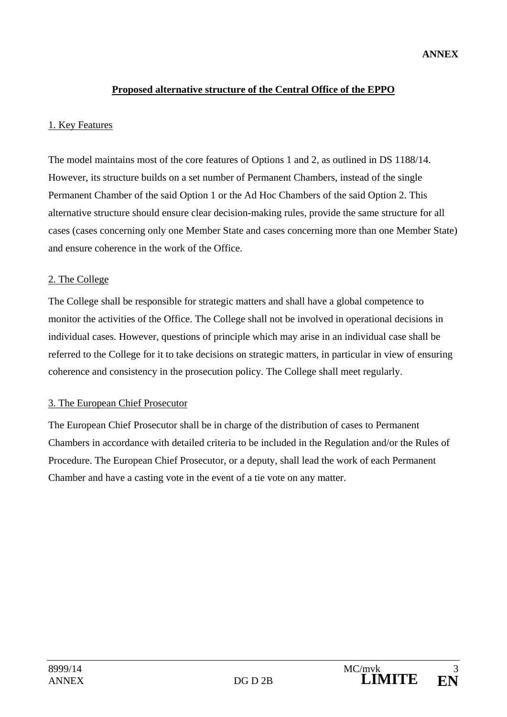## **Proposed alternative structure of the Central Office of the EPPO**

### 1. Key Features

The model maintains most of the core features of Options 1 and 2, as outlined in DS 1188/14. However, its structure builds on a set number of Permanent Chambers, instead of the single Permanent Chamber of the said Option 1 or the Ad Hoc Chambers of the said Option 2. This alternative structure should ensure clear decision-making rules, provide the same structure for all cases (cases concerning only one Member State and cases concerning more than one Member State) and ensure coherence in the work of the Office.

## 2. The College

The College shall be responsible for strategic matters and shall have a global competence to monitor the activities of the Office. The College shall not be involved in operational decisions in individual cases. However, questions of principle which may arise in an individual case shall be referred to the College for it to take decisions on strategic matters, in particular in view of ensuring coherence and consistency in the prosecution policy. The College shall meet regularly.

# 3. The European Chief Prosecutor

The European Chief Prosecutor shall be in charge of the distribution of cases to Permanent Chambers in accordance with detailed criteria to be included in the Regulation and/or the Rules of Procedure. The European Chief Prosecutor, or a deputy, shall lead the work of each Permanent Chamber and have a casting vote in the event of a tie vote on any matter.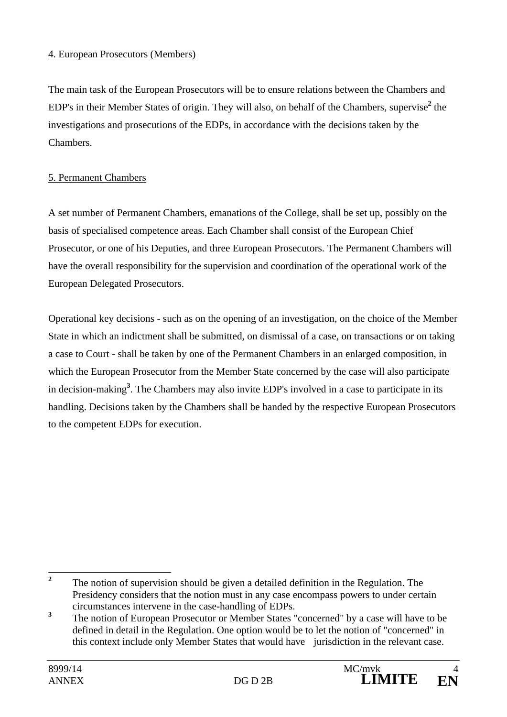## 4. European Prosecutors (Members)

The main task of the European Prosecutors will be to ensure relations between the Chambers and EDP's in their Member States of origin. They will also, on behalf of the Chambers, supervise<sup>2</sup> the investigations and prosecutions of the EDPs, in accordance with the decisions taken by the Chambers.

# 5. Permanent Chambers

A set number of Permanent Chambers, emanations of the College, shall be set up, possibly on the basis of specialised competence areas. Each Chamber shall consist of the European Chief Prosecutor, or one of his Deputies, and three European Prosecutors. The Permanent Chambers will have the overall responsibility for the supervision and coordination of the operational work of the European Delegated Prosecutors.

Operational key decisions - such as on the opening of an investigation, on the choice of the Member State in which an indictment shall be submitted, on dismissal of a case, on transactions or on taking a case to Court - shall be taken by one of the Permanent Chambers in an enlarged composition, in which the European Prosecutor from the Member State concerned by the case will also participate in decision-making**<sup>3</sup>** . The Chambers may also invite EDP's involved in a case to participate in its handling. Decisions taken by the Chambers shall be handed by the respective European Prosecutors to the competent EDPs for execution.

 **2** The notion of supervision should be given a detailed definition in the Regulation. The Presidency considers that the notion must in any case encompass powers to under certain circumstances intervene in the case-handling of EDPs.

**<sup>3</sup>** The notion of European Prosecutor or Member States "concerned" by a case will have to be defined in detail in the Regulation. One option would be to let the notion of "concerned" in this context include only Member States that would have jurisdiction in the relevant case.